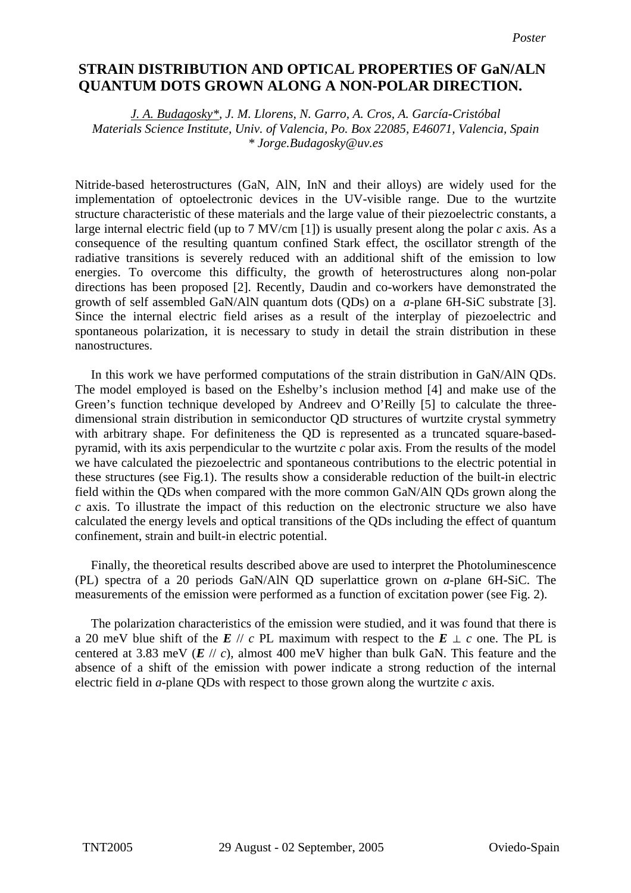## **STRAIN DISTRIBUTION AND OPTICAL PROPERTIES OF GaN/ALN non-polar direction. QUANTUM DOTS GROWN ALONG A NON-POLAR DIRECTION.**

*J. A. Budagosky\*, J. M. Llorens, N. Garro, A. Cros, A. García-Cristóbal Materials Science Institute, Univ. of Valencia, Po. Box 22085, E46071, Valencia, Spain \* Jorge.Budagosky@uv.es* 

Nitride-based heterostructures (GaN, AlN, InN and their alloys) are widely used for the implementation of optoelectronic devices in the UV-visible range. Due to the wurtzite structure characteristic of these materials and the large value of their piezoelectric constants, a large internal electric field (up to 7 MV/cm [1]) is usually present along the polar *c* axis. As a consequence of the resulting quantum confined Stark effect, the oscillator strength of the radiative transitions is severely reduced with an additional shift of the emission to low energies. To overcome this difficulty, the growth of heterostructures along non-polar directions has been proposed [2]. Recently, Daudin and co-workers have demonstrated the growth of self assembled GaN/AlN quantum dots (QDs) on a *a*-plane 6H-SiC substrate [3]. Since the internal electric field arises as a result of the interplay of piezoelectric and spontaneous polarization, it is necessary to study in detail the strain distribution in these nanostructures.

 In this work we have performed computations of the strain distribution in GaN/AlN QDs. The model employed is based on the Eshelby's inclusion method [4] and make use of the Green's function technique developed by Andreev and O'Reilly [5] to calculate the threedimensional strain distribution in semiconductor QD structures of wurtzite crystal symmetry with arbitrary shape. For definiteness the QD is represented as a truncated square-basedpyramid, with its axis perpendicular to the wurtzite *c* polar axis. From the results of the model we have calculated the piezoelectric and spontaneous contributions to the electric potential in these structures (see Fig.1). The results show a considerable reduction of the built-in electric field within the QDs when compared with the more common GaN/AlN QDs grown along the *c* axis. To illustrate the impact of this reduction on the electronic structure we also have calculated the energy levels and optical transitions of the QDs including the effect of quantum confinement, strain and built-in electric potential.

 Finally, the theoretical results described above are used to interpret the Photoluminescence (PL) spectra of a 20 periods GaN/AlN QD superlattice grown on *a*-plane 6H-SiC. The measurements of the emission were performed as a function of excitation power (see Fig. 2).

 The polarization characteristics of the emission were studied, and it was found that there is a 20 meV blue shift of the *E* // *c* PL maximum with respect to the  $E \perp c$  one. The PL is centered at 3.83 meV  $(E \mid c)$ , almost 400 meV higher than bulk GaN. This feature and the absence of a shift of the emission with power indicate a strong reduction of the internal electric field in  $a$ -plane QDs with respect to those grown along the wurtzite  $c$  axis.